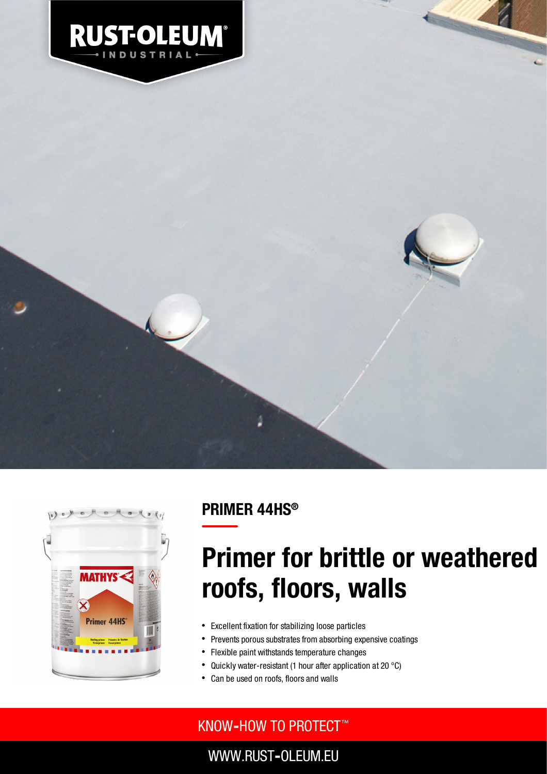





## PRIMER 44HS ®

# Primer for brittle or weathered roofs, floors, walls

- Excellent fixation for stabilizing loose particles
- Prevents porous substrates from absorbing expensive coatings
- Flexible paint withstands temperature changes
- Quickly water-resistant (1 hour after application at 20 °C)
- Can be used on roofs, floors and walls

### KNOW**‐**HOW TO PROTECT ™

WWW.RUST**‐**OLEUM.EU